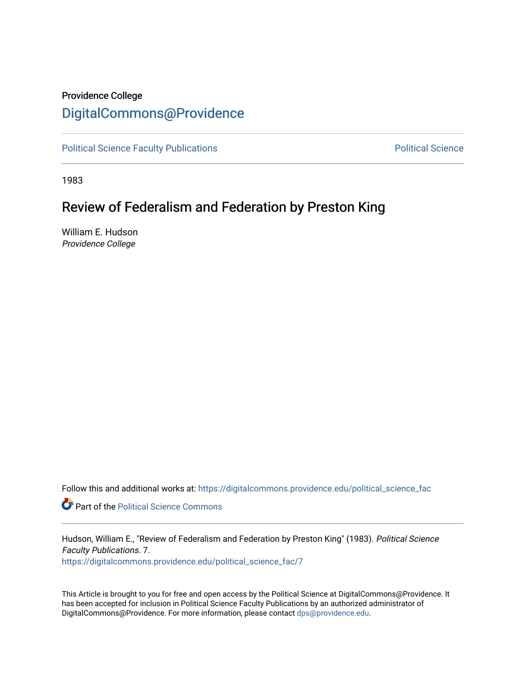## Providence College [DigitalCommons@Providence](https://digitalcommons.providence.edu/)

[Political Science Faculty Publications](https://digitalcommons.providence.edu/political_science_fac) **Political Science** Political Science

1983

## Review of Federalism and Federation by Preston King

William E. Hudson Providence College

Follow this and additional works at: [https://digitalcommons.providence.edu/political\\_science\\_fac](https://digitalcommons.providence.edu/political_science_fac?utm_source=digitalcommons.providence.edu%2Fpolitical_science_fac%2F7&utm_medium=PDF&utm_campaign=PDFCoverPages)

**Part of the Political Science Commons** 

Hudson, William E., "Review of Federalism and Federation by Preston King" (1983). Political Science Faculty Publications. 7. [https://digitalcommons.providence.edu/political\\_science\\_fac/7](https://digitalcommons.providence.edu/political_science_fac/7?utm_source=digitalcommons.providence.edu%2Fpolitical_science_fac%2F7&utm_medium=PDF&utm_campaign=PDFCoverPages) 

This Article is brought to you for free and open access by the Political Science at DigitalCommons@Providence. It has been accepted for inclusion in Political Science Faculty Publications by an authorized administrator of DigitalCommons@Providence. For more information, please contact [dps@providence.edu.](mailto:dps@providence.edu)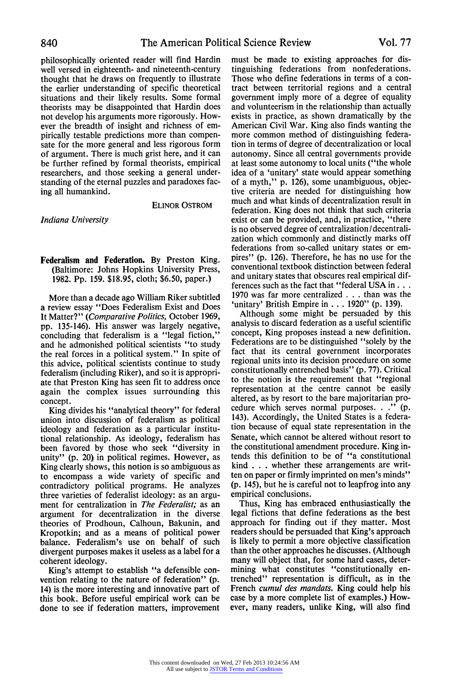philosophically oriented reader will find Hardin well versed in eighteenth- and nineteenth-century thought that he draws on frequently to illustrate the earlier understanding of specific theoretical situations and their likely results. Some formal theorists may be disappointed that Hardin does not develop his arguments more rigorously. However the breadth of insight and richness of empirically testable predictions more than compensate for the more general and less rigorous form of argument. There is much grist here, and it can be further refined by formal theorists, empirical researchers, and those seeking a general understanding of the eternal puzzles and paradoxes facing all humankind.

ELINOR OSTROM

Indiana University

## Federalism and Federation. By Preston King, (Baltimore: Johns Hopkins University Press, 1982. Pp. 159. \$18.95, cloth; \$6.50, paper.)

More than a decade ago William Riker subtitled a review essay "Does Federalism Exist and Does It Matter?" (Comparative Politics, October 1969, pp. 135-146). His answer was largely negative, concluding that federalism is a "legal fiction," and he admonished political scientists "to study the real forces in a political system." In spite of this advice, political scientists continue to study federalism (including Riker), and so it is appropriate that Preston King has seen fit to address once again the complex issues surrounding this concept.

King divides his "analytical theory" for federal union into discussion of federalism as political ideology and federation as a particular institutional relationship. As ideology, federalism has been favored by those who seek "diversity in unity" (p. 20) in political regimes. However, as King clearly shows, this notion is so ambiguous as to encompass a wide variety of specific and contradictory political programs. He analyzes three varieties of federalist ideology: as an argument for centralization in The Federalist; as an argument for decentralization in the diverse theories of Prodhoun, Calhoun, Bakunin, and Kropotkin; and as a means of political power balance. Federalism's use on behalf of such divergent purposes makes it useless as a label for a coherent ideology.

King's attempt to establish "a defensible convention relating to the nature of federation" (p. 14) is the more interesting and innovative part of this book. Before useful empirical work can be done to see if federation matters, improvement must be made to existing approaches for distinguishing federations from nonfederations. Those who define federations in terms of a contract between territorial regions and a central government imply more of a degree of equality and volunteerism in the relationship than actually exists in practice, as shown dramatically by the American Civil War. King also finds wanting the more common method of distinguishing federation in terms of degree of decentralization or local autonomy. Since all central governments provide at least some autonomy to local units ("the whole idea of a 'unitary' state would appear something of a myth," p. 126), some unambiguous, objective criteria are needed for distinguishing how much and what kinds of decentralization result in federation. King does not think that such criteria exist or can be provided, and, in practice, "there is no observed degree of centralization/ decentralization which commonly and distinctly marks off federations from so-called unitary states or empires" (p. 126). Therefore, he has no use for the conventional textbook distinction between federal and unitary states that obscures real empirical differences such as the fact that "federal USA in . . . 1970 was far more centralized . . . than was the 'unitary' British Empire in . . . 1920" (p. 139).

Although some might be persuaded by this analysis to discard federation as a useful scientific concept, King proposes instead a new definition. Federations are to be distinguished "solely by the fact that its central government incorporates regional units into its decision procedure on some constitutionally entrenched basis" (p. 77). Critical to the notion is the requirement that "regional representation at the centre cannot be easily altered, as by resort to the bare majoritarian procedure which serves normal purposes. . ." (p. 143). Accordingly, the United States is a federation because of equal state representation in the Senate, which cannot be altered without resort to the constitutional amendment procedure. King intends this definition to be of "a constitutional kind . . . whether these arrangements are written on paper or firmly imprinted on men's minds" (p. 145), but he is careful not to leapfrog into any empirical conclusions.

Thus, King has embraced enthusiastically the legal fictions that define federations as the best approach for finding out if they matter. Most readers should be persuaded that King's approach is likely to permit a more objective classification than the other approaches he discusses. (Although many will object that, for some hard cases, determining what constitutes "constitutionally entrenched" representation is difficult, as in the French cumul des mandats. King could help his case by a more complete list of examples.) However, many readers, unlike King, will also find